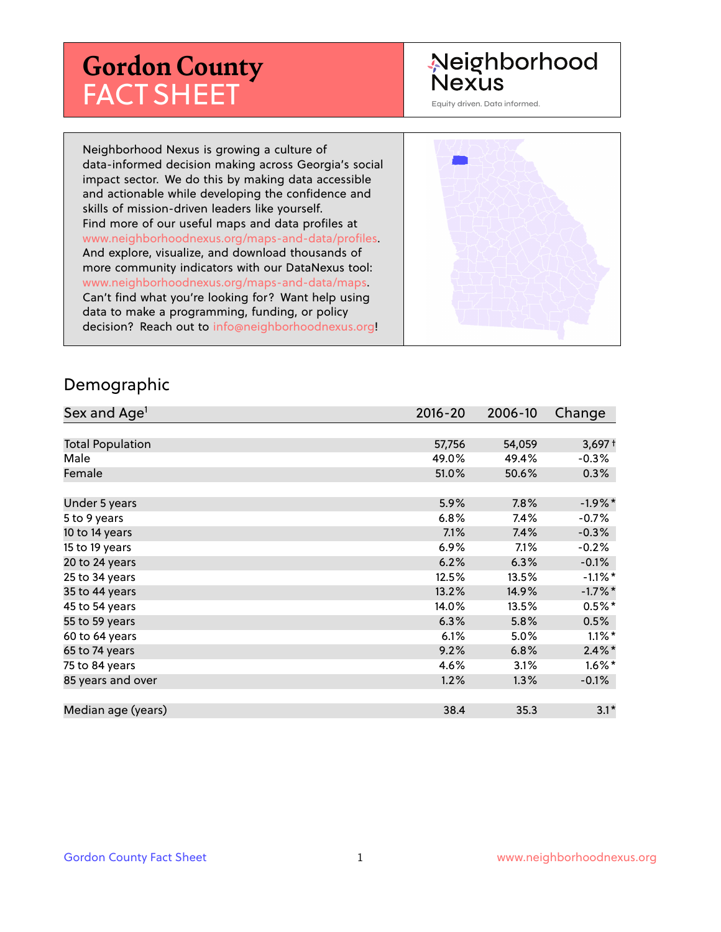# **Gordon County** FACT SHEET

## Neighborhood **Nexus**

Equity driven. Data informed.

Neighborhood Nexus is growing a culture of data-informed decision making across Georgia's social impact sector. We do this by making data accessible and actionable while developing the confidence and skills of mission-driven leaders like yourself. Find more of our useful maps and data profiles at www.neighborhoodnexus.org/maps-and-data/profiles. And explore, visualize, and download thousands of more community indicators with our DataNexus tool: www.neighborhoodnexus.org/maps-and-data/maps. Can't find what you're looking for? Want help using data to make a programming, funding, or policy decision? Reach out to [info@neighborhoodnexus.org!](mailto:info@neighborhoodnexus.org)



#### Demographic

| Sex and Age <sup>1</sup> | $2016 - 20$ | 2006-10 | Change     |
|--------------------------|-------------|---------|------------|
|                          |             |         |            |
| <b>Total Population</b>  | 57,756      | 54,059  | $3,697+$   |
| Male                     | 49.0%       | 49.4%   | $-0.3%$    |
| Female                   | 51.0%       | 50.6%   | $0.3\%$    |
|                          |             |         |            |
| Under 5 years            | 5.9%        | 7.8%    | $-1.9%$ *  |
| 5 to 9 years             | 6.8%        | 7.4%    | $-0.7\%$   |
| 10 to 14 years           | 7.1%        | 7.4%    | $-0.3%$    |
| 15 to 19 years           | 6.9%        | 7.1%    | $-0.2%$    |
| 20 to 24 years           | 6.2%        | 6.3%    | $-0.1%$    |
| 25 to 34 years           | 12.5%       | 13.5%   | $-1.1\%$ * |
| 35 to 44 years           | 13.2%       | 14.9%   | $-1.7%$ *  |
| 45 to 54 years           | 14.0%       | 13.5%   | $0.5%$ *   |
| 55 to 59 years           | 6.3%        | 5.8%    | 0.5%       |
| 60 to 64 years           | 6.1%        | 5.0%    | $1.1\%$ *  |
| 65 to 74 years           | 9.2%        | 6.8%    | $2.4\%$ *  |
| 75 to 84 years           | 4.6%        | 3.1%    | $1.6\%$ *  |
| 85 years and over        | 1.2%        | 1.3%    | $-0.1%$    |
|                          |             |         |            |
| Median age (years)       | 38.4        | 35.3    | $3.1*$     |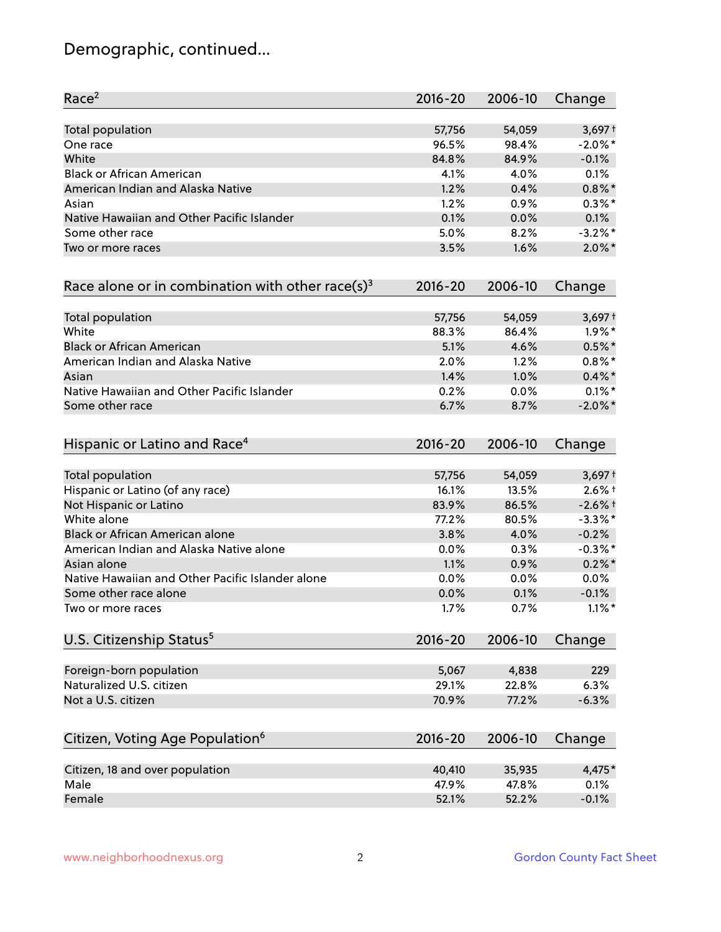## Demographic, continued...

| Race <sup>2</sup>                                            | $2016 - 20$ | 2006-10 | Change     |
|--------------------------------------------------------------|-------------|---------|------------|
| <b>Total population</b>                                      | 57,756      | 54,059  | $3,697+$   |
| One race                                                     | 96.5%       | 98.4%   | $-2.0\%$ * |
| White                                                        | 84.8%       | 84.9%   | $-0.1%$    |
| <b>Black or African American</b>                             | 4.1%        | 4.0%    | 0.1%       |
| American Indian and Alaska Native                            | 1.2%        | 0.4%    | $0.8\%$ *  |
| Asian                                                        | 1.2%        | 0.9%    | $0.3\%$ *  |
| Native Hawaiian and Other Pacific Islander                   | 0.1%        | 0.0%    | 0.1%       |
| Some other race                                              | 5.0%        | 8.2%    | $-3.2%$ *  |
| Two or more races                                            | 3.5%        | 1.6%    | $2.0\%$ *  |
| Race alone or in combination with other race(s) <sup>3</sup> | $2016 - 20$ | 2006-10 | Change     |
| Total population                                             | 57,756      | 54,059  | $3,697+$   |
| White                                                        | 88.3%       | 86.4%   | $1.9\%$ *  |
| <b>Black or African American</b>                             | 5.1%        | 4.6%    | $0.5%$ *   |
| American Indian and Alaska Native                            | 2.0%        | 1.2%    | $0.8\%$ *  |
| Asian                                                        | 1.4%        | 1.0%    | $0.4\%$ *  |
| Native Hawaiian and Other Pacific Islander                   | 0.2%        | 0.0%    | $0.1\%$ *  |
| Some other race                                              | 6.7%        | 8.7%    | $-2.0\%$ * |
| Hispanic or Latino and Race <sup>4</sup>                     | $2016 - 20$ | 2006-10 | Change     |
| Total population                                             | 57,756      | 54,059  | $3,697+$   |
| Hispanic or Latino (of any race)                             | 16.1%       | 13.5%   | $2.6%$ †   |
| Not Hispanic or Latino                                       | 83.9%       | 86.5%   | $-2.6%$ †  |
| White alone                                                  | 77.2%       | 80.5%   | $-3.3\%$ * |
| Black or African American alone                              | 3.8%        | 4.0%    | $-0.2%$    |
| American Indian and Alaska Native alone                      | $0.0\%$     | 0.3%    | $-0.3\%$ * |
| Asian alone                                                  | 1.1%        | 0.9%    | $0.2\%$ *  |
| Native Hawaiian and Other Pacific Islander alone             | 0.0%        | 0.0%    | 0.0%       |
| Some other race alone                                        | 0.0%        | 0.1%    | $-0.1%$    |
| Two or more races                                            | 1.7%        | 0.7%    | $1.1\%$ *  |
| U.S. Citizenship Status <sup>5</sup>                         | $2016 - 20$ | 2006-10 | Change     |
| Foreign-born population                                      | 5,067       | 4,838   | 229        |
| Naturalized U.S. citizen                                     | 29.1%       | 22.8%   | 6.3%       |
| Not a U.S. citizen                                           | 70.9%       | 77.2%   | $-6.3%$    |
| Citizen, Voting Age Population <sup>6</sup>                  | $2016 - 20$ | 2006-10 | Change     |
|                                                              |             |         |            |
| Citizen, 18 and over population                              | 40,410      | 35,935  | 4,475*     |
| Male                                                         | 47.9%       | 47.8%   | 0.1%       |
| Female                                                       | 52.1%       | 52.2%   | $-0.1%$    |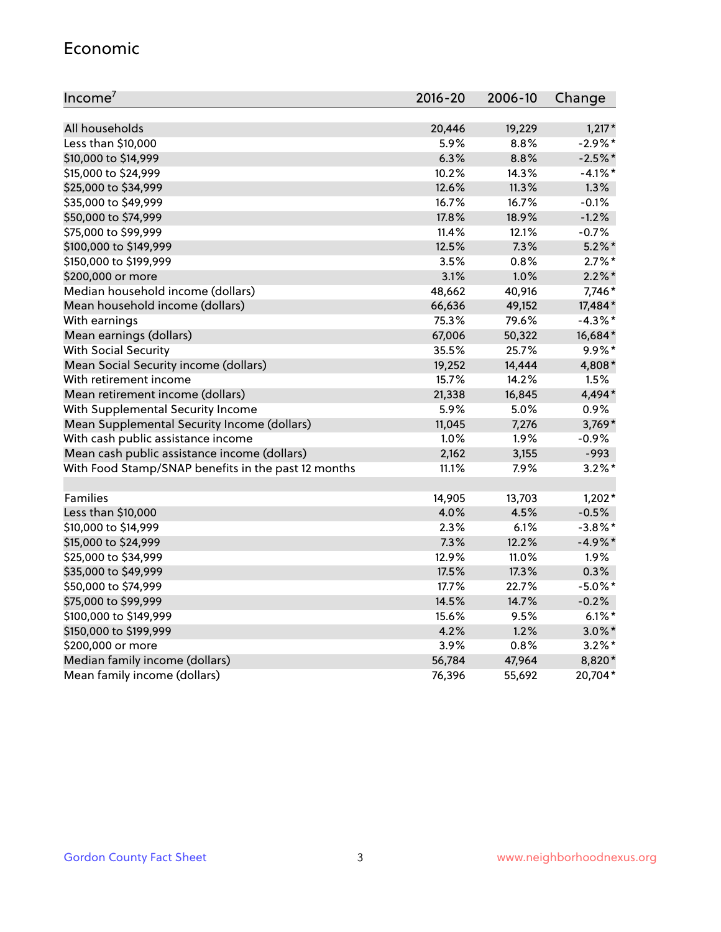#### Economic

| Income <sup>7</sup>                                 | $2016 - 20$ | 2006-10 | Change     |
|-----------------------------------------------------|-------------|---------|------------|
|                                                     |             |         |            |
| All households                                      | 20,446      | 19,229  | $1,217*$   |
| Less than \$10,000                                  | 5.9%        | 8.8%    | $-2.9%$ *  |
| \$10,000 to \$14,999                                | 6.3%        | 8.8%    | $-2.5%$ *  |
| \$15,000 to \$24,999                                | 10.2%       | 14.3%   | $-4.1\%$ * |
| \$25,000 to \$34,999                                | 12.6%       | 11.3%   | 1.3%       |
| \$35,000 to \$49,999                                | 16.7%       | 16.7%   | $-0.1%$    |
| \$50,000 to \$74,999                                | 17.8%       | 18.9%   | $-1.2%$    |
| \$75,000 to \$99,999                                | 11.4%       | 12.1%   | $-0.7%$    |
| \$100,000 to \$149,999                              | 12.5%       | 7.3%    | $5.2\%$ *  |
| \$150,000 to \$199,999                              | 3.5%        | 0.8%    | $2.7\%$ *  |
| \$200,000 or more                                   | 3.1%        | 1.0%    | $2.2\%$ *  |
| Median household income (dollars)                   | 48,662      | 40,916  | 7,746*     |
| Mean household income (dollars)                     | 66,636      | 49,152  | 17,484*    |
| With earnings                                       | 75.3%       | 79.6%   | $-4.3\%$ * |
| Mean earnings (dollars)                             | 67,006      | 50,322  | 16,684*    |
| <b>With Social Security</b>                         | 35.5%       | 25.7%   | $9.9\%$ *  |
| Mean Social Security income (dollars)               | 19,252      | 14,444  | 4,808*     |
| With retirement income                              | 15.7%       | 14.2%   | 1.5%       |
| Mean retirement income (dollars)                    | 21,338      | 16,845  | 4,494*     |
| With Supplemental Security Income                   | 5.9%        | $5.0\%$ | 0.9%       |
| Mean Supplemental Security Income (dollars)         | 11,045      | 7,276   | 3,769*     |
| With cash public assistance income                  | 1.0%        | 1.9%    | $-0.9%$    |
| Mean cash public assistance income (dollars)        | 2,162       | 3,155   | $-993$     |
| With Food Stamp/SNAP benefits in the past 12 months | 11.1%       | 7.9%    | $3.2\%$ *  |
|                                                     |             |         |            |
| Families                                            | 14,905      | 13,703  | $1,202*$   |
| Less than \$10,000                                  | 4.0%        | 4.5%    | $-0.5%$    |
| \$10,000 to \$14,999                                | 2.3%        | 6.1%    | $-3.8\%$ * |
| \$15,000 to \$24,999                                | 7.3%        | 12.2%   | $-4.9%$ *  |
| \$25,000 to \$34,999                                | 12.9%       | 11.0%   | 1.9%       |
| \$35,000 to \$49,999                                | 17.5%       | 17.3%   | 0.3%       |
| \$50,000 to \$74,999                                | 17.7%       | 22.7%   | $-5.0\%$ * |
| \$75,000 to \$99,999                                | 14.5%       | 14.7%   | $-0.2%$    |
| \$100,000 to \$149,999                              | 15.6%       | 9.5%    | $6.1\%$ *  |
| \$150,000 to \$199,999                              | 4.2%        | 1.2%    | $3.0\%$ *  |
| \$200,000 or more                                   | 3.9%        | 0.8%    | $3.2\%$ *  |
| Median family income (dollars)                      | 56,784      | 47,964  | 8,820*     |
| Mean family income (dollars)                        | 76,396      | 55,692  | 20,704*    |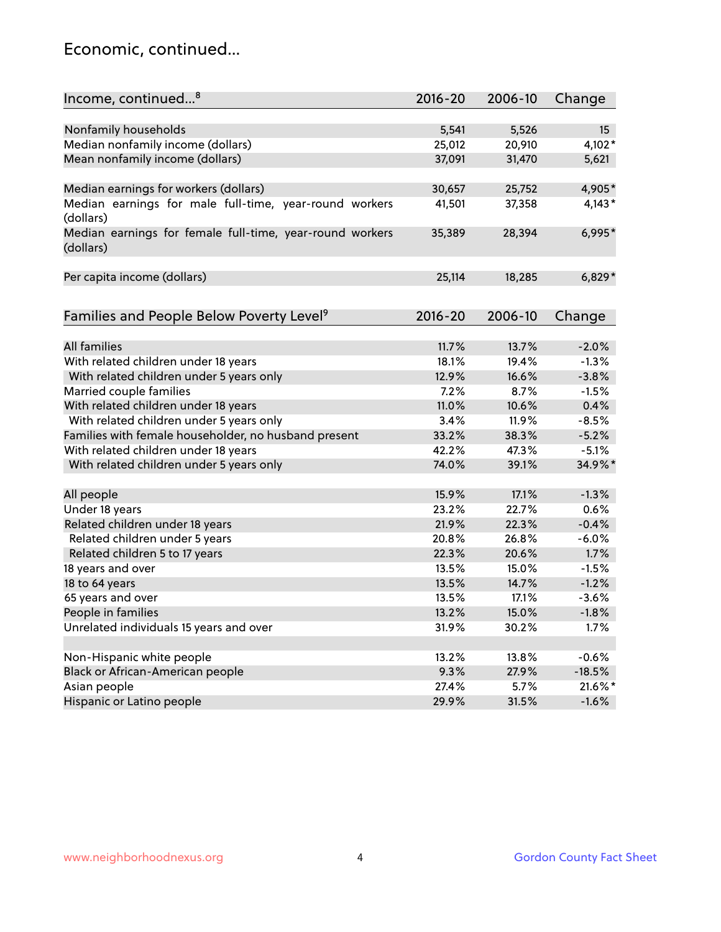## Economic, continued...

| Income, continued <sup>8</sup>                                        | $2016 - 20$ | 2006-10 | Change   |
|-----------------------------------------------------------------------|-------------|---------|----------|
|                                                                       |             |         |          |
| Nonfamily households                                                  | 5,541       | 5,526   | 15       |
| Median nonfamily income (dollars)                                     | 25,012      | 20,910  | 4,102*   |
| Mean nonfamily income (dollars)                                       | 37,091      | 31,470  | 5,621    |
| Median earnings for workers (dollars)                                 | 30,657      | 25,752  | 4,905*   |
| Median earnings for male full-time, year-round workers                | 41,501      | 37,358  | $4,143*$ |
| (dollars)                                                             |             |         |          |
| Median earnings for female full-time, year-round workers<br>(dollars) | 35,389      | 28,394  | 6,995*   |
| Per capita income (dollars)                                           | 25,114      | 18,285  | $6,829*$ |
|                                                                       |             |         |          |
| Families and People Below Poverty Level <sup>9</sup>                  | $2016 - 20$ | 2006-10 | Change   |
|                                                                       |             |         |          |
| <b>All families</b>                                                   | 11.7%       | 13.7%   | $-2.0%$  |
| With related children under 18 years                                  | 18.1%       | 19.4%   | $-1.3%$  |
| With related children under 5 years only                              | 12.9%       | 16.6%   | $-3.8%$  |
| Married couple families                                               | 7.2%        | 8.7%    | $-1.5%$  |
| With related children under 18 years                                  | 11.0%       | 10.6%   | 0.4%     |
| With related children under 5 years only                              | 3.4%        | 11.9%   | $-8.5%$  |
| Families with female householder, no husband present                  | 33.2%       | 38.3%   | $-5.2%$  |
| With related children under 18 years                                  | 42.2%       | 47.3%   | $-5.1%$  |
| With related children under 5 years only                              | 74.0%       | 39.1%   | 34.9%*   |
| All people                                                            | 15.9%       | 17.1%   | $-1.3%$  |
| Under 18 years                                                        | 23.2%       | 22.7%   | 0.6%     |
| Related children under 18 years                                       | 21.9%       | 22.3%   | $-0.4%$  |
| Related children under 5 years                                        | 20.8%       | 26.8%   | $-6.0%$  |
| Related children 5 to 17 years                                        | 22.3%       | 20.6%   | 1.7%     |
| 18 years and over                                                     | 13.5%       | 15.0%   | $-1.5%$  |
| 18 to 64 years                                                        | 13.5%       | 14.7%   | $-1.2%$  |
| 65 years and over                                                     | 13.5%       | 17.1%   | $-3.6%$  |
| People in families                                                    | 13.2%       | 15.0%   | $-1.8%$  |
| Unrelated individuals 15 years and over                               | 31.9%       | 30.2%   | 1.7%     |
|                                                                       |             |         |          |
| Non-Hispanic white people                                             | 13.2%       | 13.8%   | $-0.6%$  |
| Black or African-American people                                      | 9.3%        | 27.9%   | $-18.5%$ |
| Asian people                                                          | 27.4%       | 5.7%    | 21.6%*   |
| Hispanic or Latino people                                             | 29.9%       | 31.5%   | $-1.6%$  |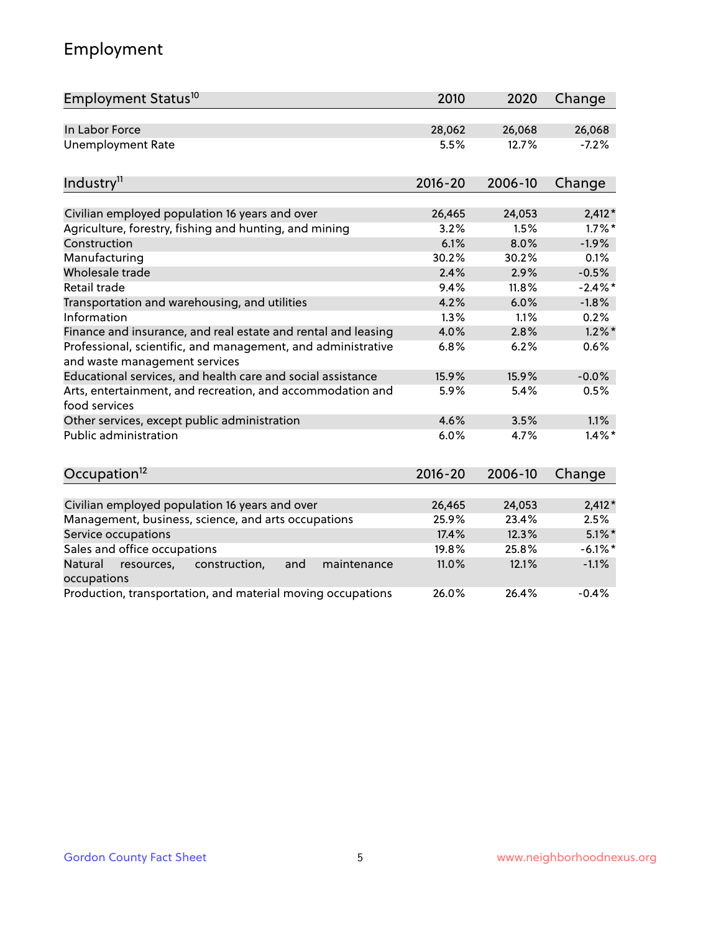## Employment

| Employment Status <sup>10</sup>                                                               | 2010        | 2020    | Change     |
|-----------------------------------------------------------------------------------------------|-------------|---------|------------|
| In Labor Force                                                                                | 28,062      | 26,068  | 26,068     |
| <b>Unemployment Rate</b>                                                                      | 5.5%        | 12.7%   | $-7.2%$    |
| Industry <sup>11</sup>                                                                        | $2016 - 20$ | 2006-10 | Change     |
| Civilian employed population 16 years and over                                                | 26,465      | 24,053  | $2,412*$   |
| Agriculture, forestry, fishing and hunting, and mining                                        | 3.2%        | 1.5%    | $1.7\%$ *  |
| Construction                                                                                  | 6.1%        | 8.0%    | $-1.9%$    |
| Manufacturing                                                                                 | 30.2%       | 30.2%   | 0.1%       |
| Wholesale trade                                                                               | 2.4%        | 2.9%    | $-0.5%$    |
| Retail trade                                                                                  | 9.4%        | 11.8%   | $-2.4\%$ * |
| Transportation and warehousing, and utilities                                                 | 4.2%        | 6.0%    | $-1.8%$    |
| Information                                                                                   | 1.3%        | 1.1%    | 0.2%       |
| Finance and insurance, and real estate and rental and leasing                                 | 4.0%        | 2.8%    | $1.2\%$ *  |
| Professional, scientific, and management, and administrative<br>and waste management services | 6.8%        | 6.2%    | 0.6%       |
| Educational services, and health care and social assistance                                   | 15.9%       | 15.9%   | $-0.0%$    |
| Arts, entertainment, and recreation, and accommodation and<br>food services                   | 5.9%        | 5.4%    | 0.5%       |
| Other services, except public administration                                                  | 4.6%        | 3.5%    | 1.1%       |
| <b>Public administration</b>                                                                  | 6.0%        | 4.7%    | $1.4\%$ *  |
| Occupation <sup>12</sup>                                                                      | $2016 - 20$ | 2006-10 | Change     |
|                                                                                               |             |         |            |
| Civilian employed population 16 years and over                                                | 26,465      | 24,053  | $2,412*$   |
| Management, business, science, and arts occupations                                           | 25.9%       | 23.4%   | 2.5%       |
| Service occupations                                                                           | 17.4%       | 12.3%   | $5.1\%$ *  |
| Sales and office occupations                                                                  | 19.8%       | 25.8%   | $-6.1\%$ * |
| and<br>Natural<br>resources,<br>construction,<br>maintenance<br>occupations                   | 11.0%       | 12.1%   | $-1.1%$    |
| Production, transportation, and material moving occupations                                   | 26.0%       | 26.4%   | $-0.4%$    |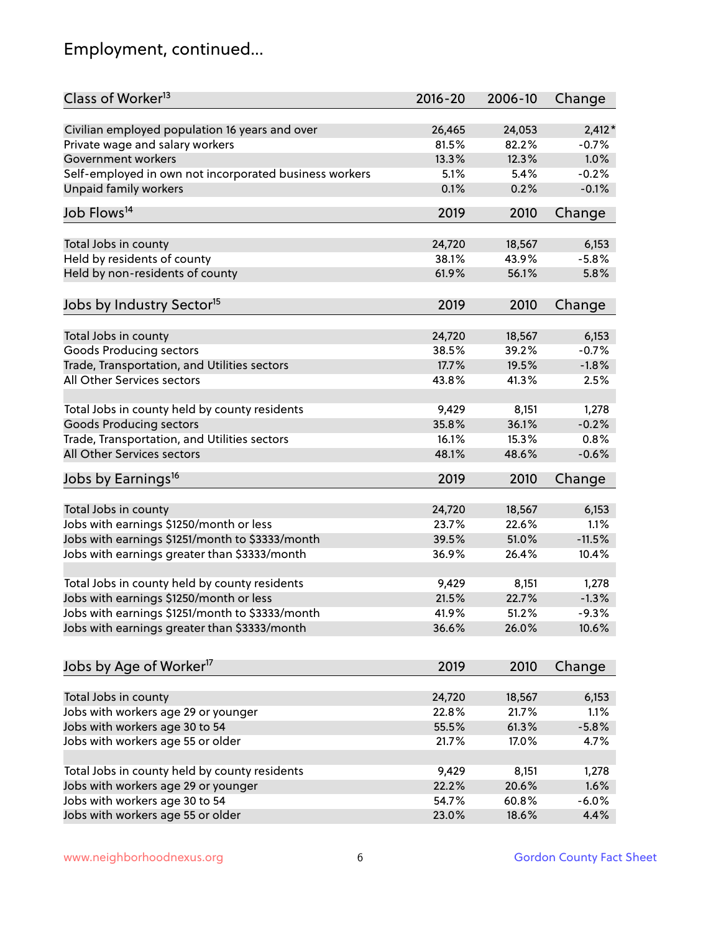## Employment, continued...

| Class of Worker <sup>13</sup>                                   | $2016 - 20$     | 2006-10 | Change        |
|-----------------------------------------------------------------|-----------------|---------|---------------|
| Civilian employed population 16 years and over                  | 26,465          | 24,053  | $2,412*$      |
| Private wage and salary workers                                 | 81.5%           | 82.2%   | $-0.7%$       |
| Government workers                                              | 13.3%           | 12.3%   | 1.0%          |
| Self-employed in own not incorporated business workers          | 5.1%            | 5.4%    | $-0.2%$       |
| Unpaid family workers                                           | 0.1%            | 0.2%    | $-0.1%$       |
| Job Flows <sup>14</sup>                                         | 2019            | 2010    | Change        |
| Total Jobs in county                                            | 24,720          | 18,567  | 6,153         |
| Held by residents of county                                     | 38.1%           | 43.9%   | $-5.8%$       |
|                                                                 | 61.9%           | 56.1%   | 5.8%          |
| Held by non-residents of county                                 |                 |         |               |
| Jobs by Industry Sector <sup>15</sup>                           | 2019            | 2010    | Change        |
| Total Jobs in county                                            | 24,720          | 18,567  | 6,153         |
| Goods Producing sectors                                         | 38.5%           | 39.2%   | $-0.7%$       |
| Trade, Transportation, and Utilities sectors                    | 17.7%           | 19.5%   | $-1.8%$       |
| All Other Services sectors                                      | 43.8%           | 41.3%   | 2.5%          |
|                                                                 |                 |         |               |
| Total Jobs in county held by county residents                   | 9,429           | 8,151   | 1,278         |
| <b>Goods Producing sectors</b>                                  | 35.8%           | 36.1%   | $-0.2%$       |
| Trade, Transportation, and Utilities sectors                    | 16.1%           | 15.3%   | 0.8%          |
| All Other Services sectors                                      | 48.1%           | 48.6%   | $-0.6%$       |
| Jobs by Earnings <sup>16</sup>                                  | 2019            | 2010    | Change        |
|                                                                 |                 | 18,567  |               |
| Total Jobs in county<br>Jobs with earnings \$1250/month or less | 24,720<br>23.7% | 22.6%   | 6,153<br>1.1% |
|                                                                 | 39.5%           |         |               |
| Jobs with earnings \$1251/month to \$3333/month                 |                 | 51.0%   | $-11.5%$      |
| Jobs with earnings greater than \$3333/month                    | 36.9%           | 26.4%   | 10.4%         |
| Total Jobs in county held by county residents                   | 9,429           | 8,151   | 1,278         |
| Jobs with earnings \$1250/month or less                         | 21.5%           | 22.7%   | $-1.3%$       |
| Jobs with earnings \$1251/month to \$3333/month                 | 41.9%           | 51.2%   | $-9.3%$       |
| Jobs with earnings greater than \$3333/month                    | 36.6%           | 26.0%   | 10.6%         |
|                                                                 |                 |         |               |
| Jobs by Age of Worker <sup>17</sup>                             | 2019            | 2010    | Change        |
| Total Jobs in county                                            | 24,720          | 18,567  | 6,153         |
| Jobs with workers age 29 or younger                             | 22.8%           | 21.7%   | 1.1%          |
| Jobs with workers age 30 to 54                                  | 55.5%           | 61.3%   | $-5.8%$       |
| Jobs with workers age 55 or older                               | 21.7%           | 17.0%   | 4.7%          |
|                                                                 |                 |         |               |
| Total Jobs in county held by county residents                   | 9,429           | 8,151   | 1,278         |
| Jobs with workers age 29 or younger                             | 22.2%           | 20.6%   | 1.6%          |
| Jobs with workers age 30 to 54                                  | 54.7%           | 60.8%   | $-6.0%$       |
| Jobs with workers age 55 or older                               | 23.0%           | 18.6%   | 4.4%          |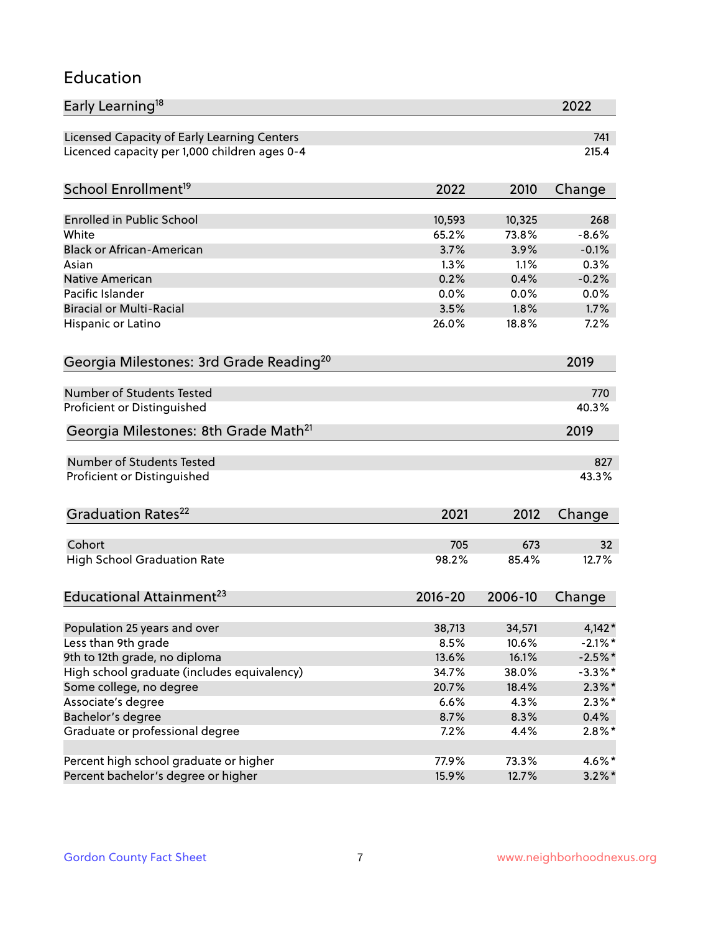### Education

| Early Learning <sup>18</sup>                        |              |              | 2022        |
|-----------------------------------------------------|--------------|--------------|-------------|
| Licensed Capacity of Early Learning Centers         |              |              | 741         |
| Licenced capacity per 1,000 children ages 0-4       |              |              | 215.4       |
| School Enrollment <sup>19</sup>                     | 2022         | 2010         | Change      |
|                                                     |              |              |             |
| <b>Enrolled in Public School</b>                    | 10,593       | 10,325       | 268         |
| White                                               | 65.2%        | 73.8%        | $-8.6%$     |
| <b>Black or African-American</b>                    | 3.7%         | 3.9%         | $-0.1%$     |
| Asian                                               | 1.3%         | 1.1%         | 0.3%        |
| Native American                                     | 0.2%         | 0.4%         | $-0.2%$     |
| Pacific Islander                                    | 0.0%         | 0.0%         | 0.0%        |
| <b>Biracial or Multi-Racial</b>                     | 3.5%         | 1.8%         | 1.7%        |
| Hispanic or Latino                                  | 26.0%        | 18.8%        | 7.2%        |
| Georgia Milestones: 3rd Grade Reading <sup>20</sup> |              |              | 2019        |
|                                                     |              |              |             |
| Number of Students Tested                           |              |              | 770         |
| Proficient or Distinguished                         |              |              | 40.3%       |
| Georgia Milestones: 8th Grade Math <sup>21</sup>    |              |              | 2019        |
| Number of Students Tested                           |              |              | 827         |
| Proficient or Distinguished                         |              |              | 43.3%       |
|                                                     |              |              |             |
| Graduation Rates <sup>22</sup>                      | 2021         | 2012         | Change      |
| Cohort                                              |              |              |             |
|                                                     | 705<br>98.2% | 673<br>85.4% | 32<br>12.7% |
| <b>High School Graduation Rate</b>                  |              |              |             |
| Educational Attainment <sup>23</sup>                | $2016 - 20$  | 2006-10      | Change      |
|                                                     |              |              |             |
| Population 25 years and over                        | 38,713       | 34,571       | $4,142*$    |
| Less than 9th grade                                 | 8.5%         | 10.6%        | $-2.1\%$ *  |
| 9th to 12th grade, no diploma                       | 13.6%        | 16.1%        | $-2.5%$ *   |
| High school graduate (includes equivalency)         | 34.7%        | 38.0%        | $-3.3\%$ *  |
| Some college, no degree                             | 20.7%        | 18.4%        | $2.3\%$ *   |
| Associate's degree                                  | 6.6%         | 4.3%         | $2.3\%$ *   |
| Bachelor's degree                                   | 8.7%         | 8.3%         | 0.4%        |
| Graduate or professional degree                     | 7.2%         | 4.4%         | $2.8\%$ *   |
| Percent high school graduate or higher              | 77.9%        | 73.3%        | 4.6%*       |
| Percent bachelor's degree or higher                 | 15.9%        | 12.7%        | $3.2\%$ *   |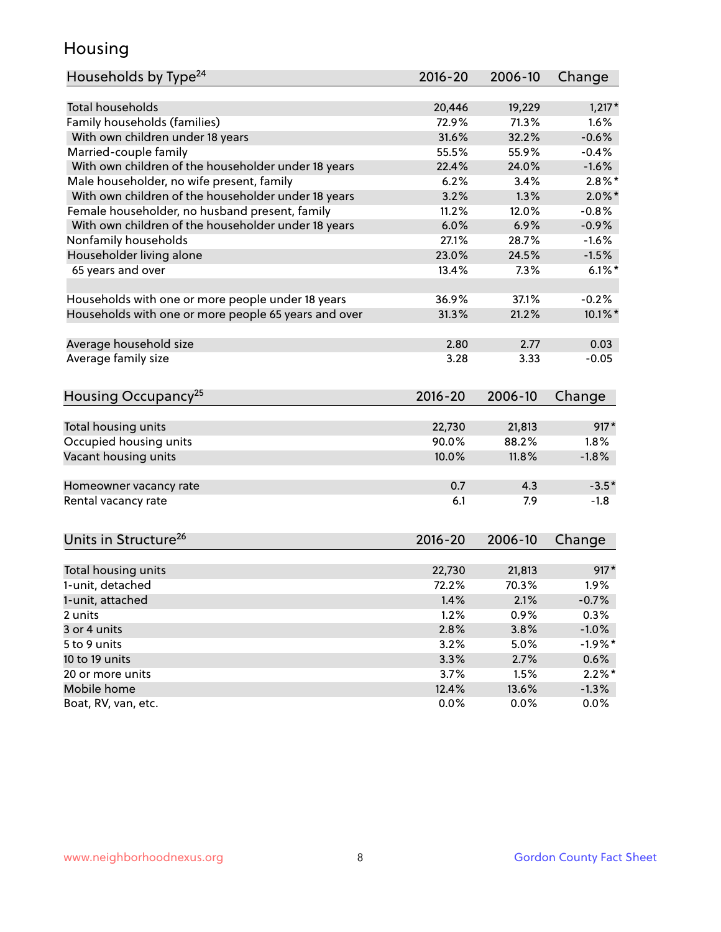## Housing

| Households by Type <sup>24</sup>                     | 2016-20 | 2006-10 | Change     |
|------------------------------------------------------|---------|---------|------------|
|                                                      |         |         |            |
| <b>Total households</b>                              | 20,446  | 19,229  | $1,217*$   |
| Family households (families)                         | 72.9%   | 71.3%   | 1.6%       |
| With own children under 18 years                     | 31.6%   | 32.2%   | $-0.6%$    |
| Married-couple family                                | 55.5%   | 55.9%   | $-0.4%$    |
| With own children of the householder under 18 years  | 22.4%   | 24.0%   | $-1.6%$    |
| Male householder, no wife present, family            | 6.2%    | 3.4%    | $2.8\%$ *  |
| With own children of the householder under 18 years  | 3.2%    | 1.3%    | $2.0\%$ *  |
| Female householder, no husband present, family       | 11.2%   | 12.0%   | $-0.8%$    |
| With own children of the householder under 18 years  | 6.0%    | 6.9%    | $-0.9%$    |
| Nonfamily households                                 | 27.1%   | 28.7%   | $-1.6%$    |
| Householder living alone                             | 23.0%   | 24.5%   | $-1.5%$    |
| 65 years and over                                    | 13.4%   | 7.3%    | $6.1\%$    |
|                                                      |         |         |            |
| Households with one or more people under 18 years    | 36.9%   | 37.1%   | $-0.2%$    |
| Households with one or more people 65 years and over | 31.3%   | 21.2%   | $10.1\%$ * |
|                                                      |         |         |            |
| Average household size                               | 2.80    | 2.77    | 0.03       |
| Average family size                                  | 3.28    | 3.33    | $-0.05$    |
| Housing Occupancy <sup>25</sup>                      | 2016-20 | 2006-10 | Change     |
|                                                      |         |         |            |
| Total housing units                                  | 22,730  | 21,813  | $917*$     |
| Occupied housing units                               | 90.0%   | 88.2%   | 1.8%       |
| Vacant housing units                                 | 10.0%   | 11.8%   | $-1.8%$    |
|                                                      |         |         |            |
| Homeowner vacancy rate                               | 0.7     | 4.3     | $-3.5*$    |
| Rental vacancy rate                                  | 6.1     | 7.9     | $-1.8$     |
|                                                      |         |         |            |
| Units in Structure <sup>26</sup>                     | 2016-20 | 2006-10 | Change     |
| Total housing units                                  | 22,730  | 21,813  | $917*$     |
| 1-unit, detached                                     | 72.2%   | 70.3%   | 1.9%       |
| 1-unit, attached                                     | 1.4%    | 2.1%    | $-0.7%$    |
| 2 units                                              | 1.2%    | 0.9%    | 0.3%       |
| 3 or 4 units                                         | 2.8%    | 3.8%    | $-1.0%$    |
| 5 to 9 units                                         | 3.2%    | 5.0%    | $-1.9%$ *  |
| 10 to 19 units                                       | 3.3%    | 2.7%    | 0.6%       |
| 20 or more units                                     | 3.7%    | 1.5%    | $2.2\%$ *  |
| Mobile home                                          | 12.4%   | 13.6%   | $-1.3%$    |
| Boat, RV, van, etc.                                  | 0.0%    | 0.0%    | 0.0%       |
|                                                      |         |         |            |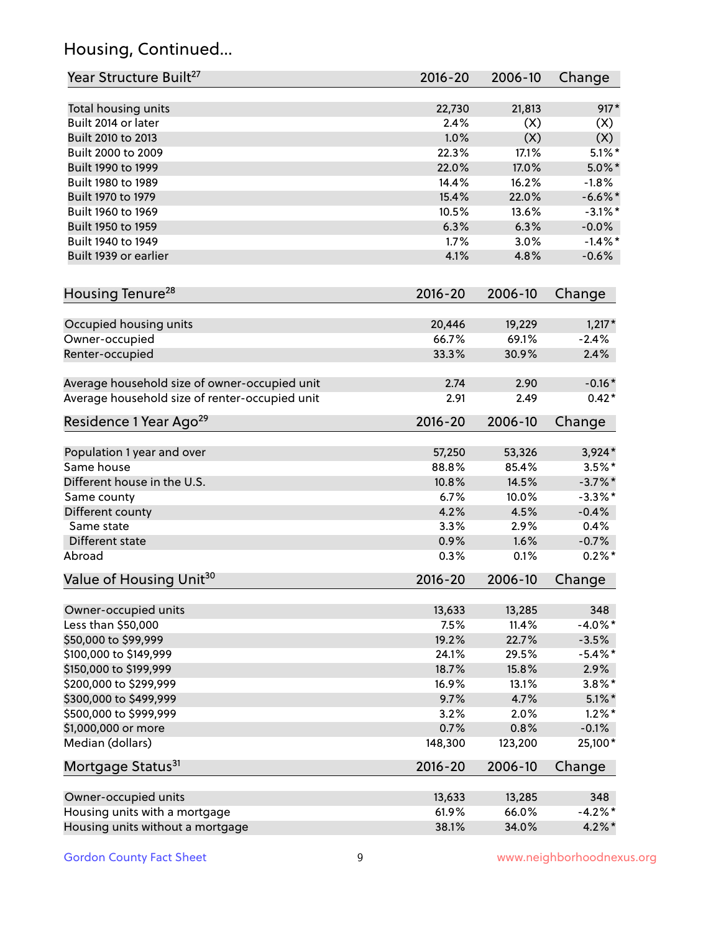## Housing, Continued...

| Year Structure Built <sup>27</sup>             | 2016-20     | 2006-10 | Change     |
|------------------------------------------------|-------------|---------|------------|
| Total housing units                            | 22,730      | 21,813  | $917*$     |
| Built 2014 or later                            | 2.4%        | (X)     | (X)        |
| Built 2010 to 2013                             | 1.0%        | (X)     | (X)        |
| Built 2000 to 2009                             | 22.3%       | 17.1%   | $5.1\%$ *  |
| Built 1990 to 1999                             | 22.0%       | 17.0%   | $5.0\%$ *  |
| Built 1980 to 1989                             | 14.4%       | 16.2%   | $-1.8%$    |
| Built 1970 to 1979                             | 15.4%       | 22.0%   | $-6.6\%$ * |
| Built 1960 to 1969                             | 10.5%       | 13.6%   | $-3.1\%$ * |
| Built 1950 to 1959                             | 6.3%        | 6.3%    | $-0.0%$    |
| Built 1940 to 1949                             | 1.7%        | 3.0%    | $-1.4\%$ * |
| Built 1939 or earlier                          | 4.1%        | 4.8%    | $-0.6%$    |
|                                                |             |         |            |
| Housing Tenure <sup>28</sup>                   | 2016-20     | 2006-10 | Change     |
| Occupied housing units                         | 20,446      | 19,229  | $1,217*$   |
| Owner-occupied                                 | 66.7%       | 69.1%   | $-2.4%$    |
| Renter-occupied                                | 33.3%       | 30.9%   | 2.4%       |
| Average household size of owner-occupied unit  | 2.74        | 2.90    | $-0.16*$   |
| Average household size of renter-occupied unit | 2.91        | 2.49    | $0.42*$    |
| Residence 1 Year Ago <sup>29</sup>             | 2016-20     | 2006-10 | Change     |
| Population 1 year and over                     | 57,250      | 53,326  | $3,924*$   |
| Same house                                     | 88.8%       | 85.4%   | $3.5\%$ *  |
| Different house in the U.S.                    | 10.8%       | 14.5%   | $-3.7\%$ * |
| Same county                                    | 6.7%        | 10.0%   | $-3.3\%$ * |
| Different county                               | 4.2%        | 4.5%    | $-0.4%$    |
| Same state                                     | 3.3%        | 2.9%    | 0.4%       |
| Different state                                | 0.9%        | 1.6%    | $-0.7%$    |
| Abroad                                         | 0.3%        | 0.1%    | $0.2%$ *   |
| Value of Housing Unit <sup>30</sup>            | $2016 - 20$ | 2006-10 | Change     |
|                                                |             |         |            |
| Owner-occupied units                           | 13,633      | 13,285  | 348        |
| Less than \$50,000                             | 7.5%        | 11.4%   | $-4.0\%$ * |
| \$50,000 to \$99,999                           | 19.2%       | 22.7%   | $-3.5%$    |
| \$100,000 to \$149,999                         | 24.1%       | 29.5%   | $-5.4\%$ * |
| \$150,000 to \$199,999                         | 18.7%       | 15.8%   | 2.9%       |
| \$200,000 to \$299,999                         | 16.9%       | 13.1%   | $3.8\%$ *  |
| \$300,000 to \$499,999                         | 9.7%        | 4.7%    | $5.1\%$ *  |
| \$500,000 to \$999,999                         | 3.2%        | 2.0%    | $1.2\%$ *  |
| \$1,000,000 or more                            | 0.7%        | 0.8%    | $-0.1%$    |
| Median (dollars)                               | 148,300     | 123,200 | 25,100*    |
| Mortgage Status <sup>31</sup>                  | $2016 - 20$ | 2006-10 | Change     |
| Owner-occupied units                           | 13,633      | 13,285  | 348        |
| Housing units with a mortgage                  | 61.9%       | 66.0%   | $-4.2%$ *  |
|                                                |             |         |            |
| Housing units without a mortgage               | 38.1%       | 34.0%   | $4.2\%$ *  |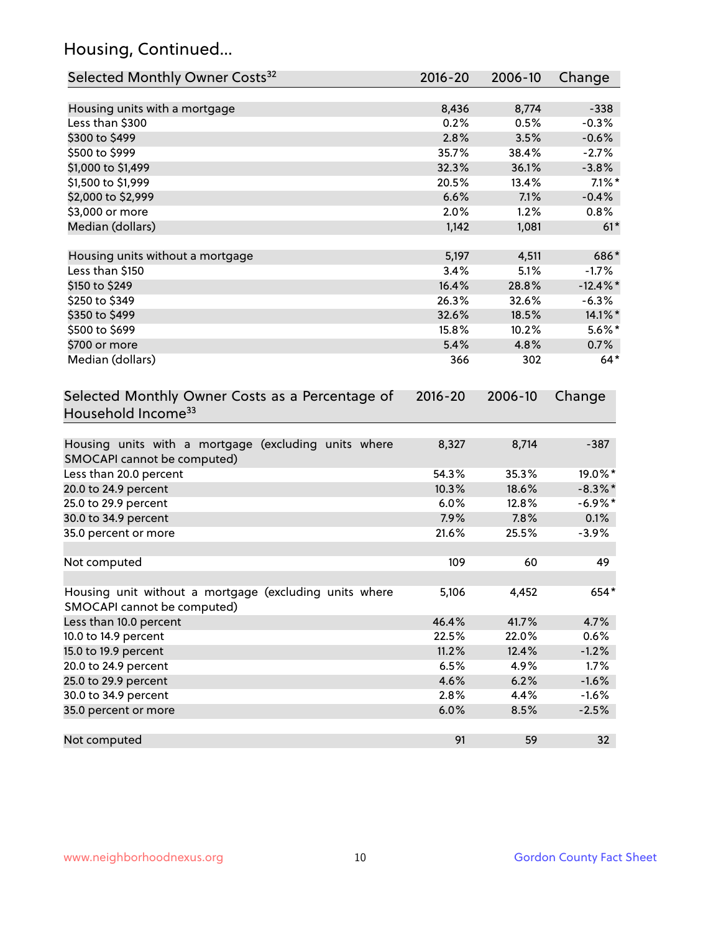## Housing, Continued...

| Selected Monthly Owner Costs <sup>32</sup>                                            | $2016 - 20$ | 2006-10 | Change      |
|---------------------------------------------------------------------------------------|-------------|---------|-------------|
| Housing units with a mortgage                                                         | 8,436       | 8,774   | $-338$      |
| Less than \$300                                                                       | 0.2%        | 0.5%    | $-0.3%$     |
| \$300 to \$499                                                                        | 2.8%        | 3.5%    | $-0.6%$     |
| \$500 to \$999                                                                        | 35.7%       | 38.4%   | $-2.7%$     |
| \$1,000 to \$1,499                                                                    | 32.3%       | 36.1%   | $-3.8%$     |
| \$1,500 to \$1,999                                                                    | 20.5%       | 13.4%   | $7.1\%$ *   |
| \$2,000 to \$2,999                                                                    | 6.6%        | 7.1%    | $-0.4%$     |
| \$3,000 or more                                                                       | 2.0%        | 1.2%    | 0.8%        |
| Median (dollars)                                                                      | 1,142       | 1,081   | $61*$       |
| Housing units without a mortgage                                                      | 5,197       | 4,511   | 686*        |
| Less than \$150                                                                       | 3.4%        | 5.1%    | $-1.7%$     |
| \$150 to \$249                                                                        | 16.4%       | 28.8%   | $-12.4\%$ * |
| \$250 to \$349                                                                        | 26.3%       | 32.6%   | $-6.3%$     |
| \$350 to \$499                                                                        | 32.6%       | 18.5%   | 14.1%*      |
| \$500 to \$699                                                                        | 15.8%       | 10.2%   | $5.6\%$ *   |
| \$700 or more                                                                         | 5.4%        | 4.8%    | 0.7%        |
| Median (dollars)                                                                      | 366         | 302     | $64*$       |
| Selected Monthly Owner Costs as a Percentage of<br>Household Income <sup>33</sup>     | $2016 - 20$ | 2006-10 | Change      |
| Housing units with a mortgage (excluding units where<br>SMOCAPI cannot be computed)   | 8,327       | 8,714   | $-387$      |
| Less than 20.0 percent                                                                | 54.3%       | 35.3%   | 19.0%*      |
| 20.0 to 24.9 percent                                                                  | 10.3%       | 18.6%   | $-8.3\%$ *  |
| 25.0 to 29.9 percent                                                                  | 6.0%        | 12.8%   | $-6.9\%$ *  |
| 30.0 to 34.9 percent                                                                  | 7.9%        | 7.8%    | 0.1%        |
| 35.0 percent or more                                                                  | 21.6%       | 25.5%   | $-3.9%$     |
| Not computed                                                                          | 109         | 60      | 49          |
| Housing unit without a mortgage (excluding units where<br>SMOCAPI cannot be computed) | 5,106       | 4,452   | 654*        |
| Less than 10.0 percent                                                                | 46.4%       | 41.7%   | 4.7%        |
| 10.0 to 14.9 percent                                                                  | 22.5%       | 22.0%   | 0.6%        |
| 15.0 to 19.9 percent                                                                  | 11.2%       | 12.4%   | $-1.2%$     |
| 20.0 to 24.9 percent                                                                  | 6.5%        | 4.9%    | 1.7%        |
| 25.0 to 29.9 percent                                                                  | 4.6%        | 6.2%    | $-1.6%$     |
| 30.0 to 34.9 percent                                                                  | 2.8%        | 4.4%    | $-1.6%$     |
| 35.0 percent or more                                                                  | 6.0%        | 8.5%    | $-2.5%$     |
| Not computed                                                                          | 91          | 59      | 32          |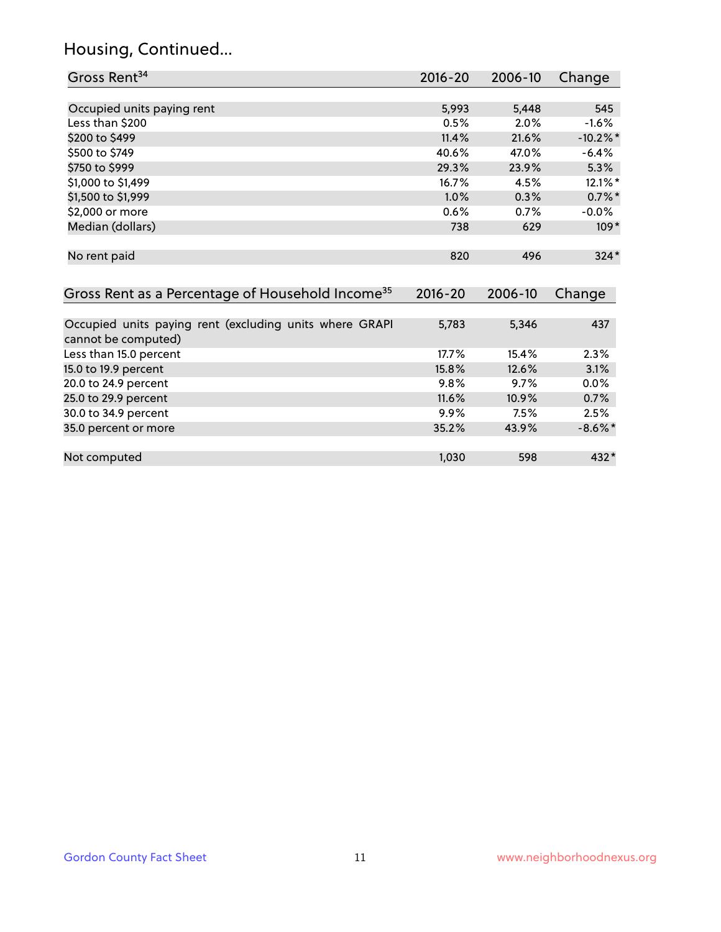## Housing, Continued...

| Gross Rent <sup>34</sup>                                                       | 2016-20     | 2006-10 | Change      |
|--------------------------------------------------------------------------------|-------------|---------|-------------|
|                                                                                |             |         |             |
| Occupied units paying rent                                                     | 5,993       | 5,448   | 545         |
| Less than \$200                                                                | 0.5%        | 2.0%    | $-1.6%$     |
| \$200 to \$499                                                                 | 11.4%       | 21.6%   | $-10.2\%$ * |
| \$500 to \$749                                                                 | 40.6%       | 47.0%   | $-6.4%$     |
| \$750 to \$999                                                                 | 29.3%       | 23.9%   | 5.3%        |
| \$1,000 to \$1,499                                                             | 16.7%       | 4.5%    | $12.1\%$ *  |
| \$1,500 to \$1,999                                                             | 1.0%        | 0.3%    | $0.7\%$ *   |
| \$2,000 or more                                                                | 0.6%        | 0.7%    | $-0.0\%$    |
| Median (dollars)                                                               | 738         | 629     | $109*$      |
| No rent paid                                                                   | 820         | 496     | $324*$      |
| Gross Rent as a Percentage of Household Income <sup>35</sup>                   | $2016 - 20$ | 2006-10 | Change      |
|                                                                                |             |         |             |
| Occupied units paying rent (excluding units where GRAPI<br>cannot be computed) | 5,783       | 5,346   | 437         |
| Less than 15.0 percent                                                         | 17.7%       | 15.4%   | 2.3%        |
| 15.0 to 19.9 percent                                                           | 15.8%       | 12.6%   | 3.1%        |
| 20.0 to 24.9 percent                                                           | 9.8%        | 9.7%    | 0.0%        |
| 25.0 to 29.9 percent                                                           | 11.6%       | 10.9%   | 0.7%        |
| 30.0 to 34.9 percent                                                           | 9.9%        | 7.5%    | 2.5%        |
| 35.0 percent or more                                                           | 35.2%       | 43.9%   | $-8.6\%$ *  |
| Not computed                                                                   | 1,030       | 598     | 432*        |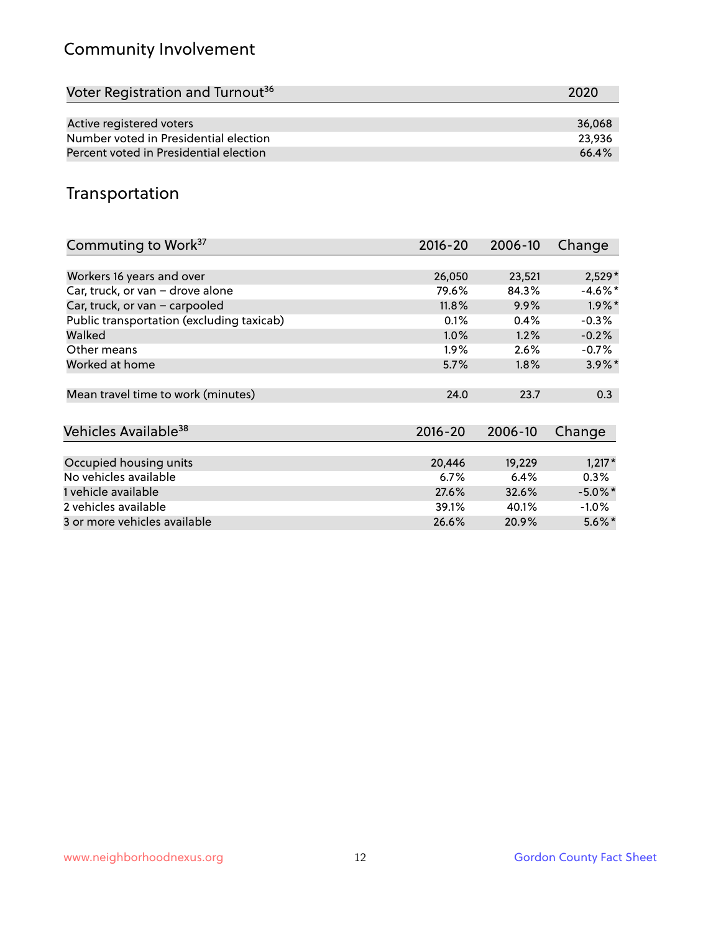## Community Involvement

| Voter Registration and Turnout <sup>36</sup> | 2020   |
|----------------------------------------------|--------|
|                                              |        |
| Active registered voters                     | 36.068 |
| Number voted in Presidential election        | 23,936 |
| Percent voted in Presidential election       | 66.4%  |

## Transportation

| Commuting to Work <sup>37</sup>           | 2016-20     | 2006-10 | Change               |
|-------------------------------------------|-------------|---------|----------------------|
|                                           |             |         |                      |
| Workers 16 years and over                 | 26,050      | 23,521  | $2,529*$             |
| Car, truck, or van - drove alone          | 79.6%       | 84.3%   | $-4.6\%$ *           |
| Car, truck, or van - carpooled            | 11.8%       | 9.9%    | $1.9\%$ *            |
| Public transportation (excluding taxicab) | 0.1%        | 0.4%    | $-0.3%$              |
| Walked                                    | 1.0%        | 1.2%    | $-0.2%$              |
| Other means                               | $1.9\%$     | 2.6%    | $-0.7%$              |
| Worked at home                            | 5.7%        | $1.8\%$ | $3.9\%$ *            |
|                                           |             |         |                      |
| Mean travel time to work (minutes)        | 24.0        | 23.7    | 0.3                  |
|                                           |             |         |                      |
| Vehicles Available <sup>38</sup>          | $2016 - 20$ | 2006-10 | Change               |
|                                           |             |         |                      |
| Occupied housing units                    | 20,446      | 19,229  | $1,217*$             |
| No vehicles available                     | 6.7%        | 6.4%    | $0.3\%$              |
| 1 vehicle available                       | 27.6%       | 32.6%   | $-5.0\%$ *           |
| 2 vehicles available                      | 39.1%       | 40.1%   | $-1.0\%$             |
| 3 or more vehicles available              | 26.6%       | 20.9%   | $5.6\%$ <sup>*</sup> |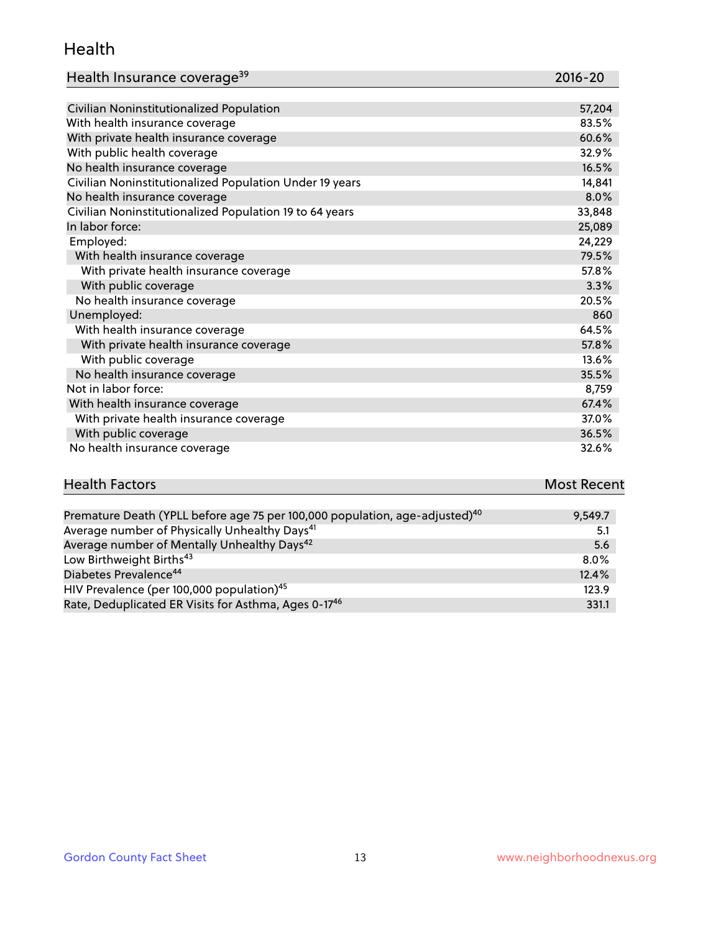#### Health

| Health Insurance coverage <sup>39</sup> | 2016-20 |
|-----------------------------------------|---------|
|-----------------------------------------|---------|

| Civilian Noninstitutionalized Population                | 57,204 |
|---------------------------------------------------------|--------|
| With health insurance coverage                          | 83.5%  |
| With private health insurance coverage                  | 60.6%  |
| With public health coverage                             | 32.9%  |
| No health insurance coverage                            | 16.5%  |
| Civilian Noninstitutionalized Population Under 19 years | 14,841 |
| No health insurance coverage                            | 8.0%   |
| Civilian Noninstitutionalized Population 19 to 64 years | 33,848 |
| In labor force:                                         | 25,089 |
| Employed:                                               | 24,229 |
| With health insurance coverage                          | 79.5%  |
| With private health insurance coverage                  | 57.8%  |
| With public coverage                                    | 3.3%   |
| No health insurance coverage                            | 20.5%  |
| Unemployed:                                             | 860    |
| With health insurance coverage                          | 64.5%  |
| With private health insurance coverage                  | 57.8%  |
| With public coverage                                    | 13.6%  |
| No health insurance coverage                            | 35.5%  |
| Not in labor force:                                     | 8,759  |
| With health insurance coverage                          | 67.4%  |
| With private health insurance coverage                  | 37.0%  |
| With public coverage                                    | 36.5%  |
| No health insurance coverage                            | 32.6%  |

# **Health Factors Most Recent** And The Control of the Control of The Control of The Control of The Control of The Control of The Control of The Control of The Control of The Control of The Control of The Control of The Contr

| Premature Death (YPLL before age 75 per 100,000 population, age-adjusted) <sup>40</sup> | 9.549.7 |
|-----------------------------------------------------------------------------------------|---------|
| Average number of Physically Unhealthy Days <sup>41</sup>                               | 5.1     |
| Average number of Mentally Unhealthy Days <sup>42</sup>                                 | 5.6     |
| Low Birthweight Births <sup>43</sup>                                                    | $8.0\%$ |
| Diabetes Prevalence <sup>44</sup>                                                       | 12.4%   |
| HIV Prevalence (per 100,000 population) <sup>45</sup>                                   | 123.9   |
| Rate, Deduplicated ER Visits for Asthma, Ages 0-17 <sup>46</sup>                        | 331.1   |